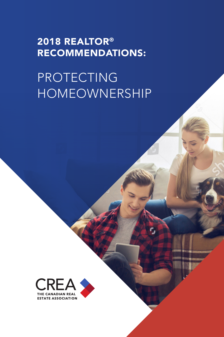# 2018 REALTOR® RECOMMENDATIONS:

# PROTECTING HOMEOWNERSHIP

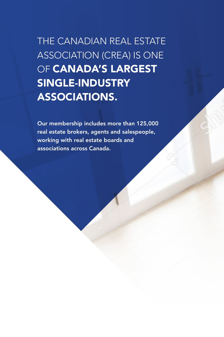THE CANADIAN REAL ESTATE ASSOCIATION (CREA) IS ONE OF **CANADA'S LARGEST** SINGLE-INDUSTRY ASSOCIATIONS.

Our membership includes more than 125,000 real estate brokers, agents and salespeople, working with real estate boards and associations across Canada.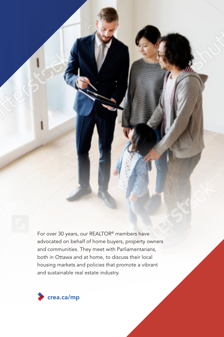For over 30 years, our REALTOR® members have advocated on behalf of home buyers, property owners and communities. They meet with Parliamentarians, both in Ottawa and at home, to discuss their local housing markets and policies that promote a vibrant and sustainable real estate industry.

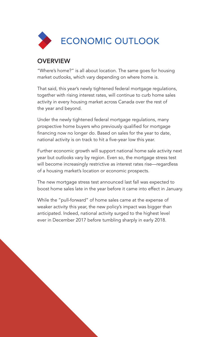

### **OVERVIEW**

"Where's home?" is all about location. The same goes for housing market outlooks, which vary depending on where home is.

That said, this year's newly tightened federal mortgage regulations, together with rising interest rates, will continue to curb home sales activity in every housing market across Canada over the rest of the year and beyond.

Under the newly tightened federal mortgage regulations, many prospective home buyers who previously qualified for mortgage financing now no longer do. Based on sales for the year to date, national activity is on track to hit a five-year low this year.

Further economic growth will support national home sale activity next year but outlooks vary by region. Even so, the mortgage stress test will become increasingly restrictive as interest rates rise—regardless of a housing market's location or economic prospects.

The new mortgage stress test announced last fall was expected to boost home sales late in the year before it came into effect in January.

While the "pull-forward" of home sales came at the expense of weaker activity this year, the new policy's impact was bigger than anticipated. Indeed, national activity surged to the highest level ever in December 2017 before tumbling sharply in early 2018.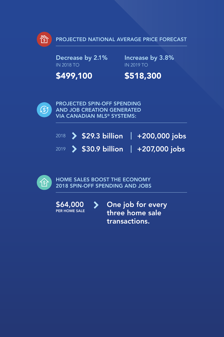

PROJECTED NATIONAL AVERAGE PRICE FORECAST

Decrease by 2.1% IN 2018 TO

Increase by 3.8% IN 2019 TO

\$499,100

\$518,300



PROJECTED SPIN-OFF SPENDING AND JOB CREATION GENERATED VIA CANADIAN MLS® SYSTEMS:

|  |  | $\frac{1}{2018}$ > \$29.3 billion +200,000 jobs |
|--|--|-------------------------------------------------|
|  |  | $2019$ > \$30.9 billion   +207,000 jobs         |



HOME SALES BOOST THE ECONOMY 2018 SPIN-OFF SPENDING AND JOBS

\$64,000  $\blacktriangleright$ One job for every PER HOME SALE three home sale

transactions.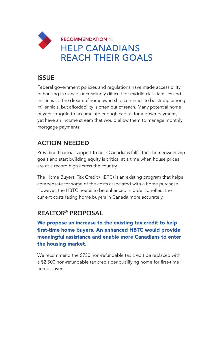

### ISSUE

Federal government policies and regulations have made accessibility to housing in Canada increasingly difficult for middle-class families and millennials. The dream of homeownership continues to be strong among millennials, but affordability is often out of reach. Many potential home buyers struggle to accumulate enough capital for a down payment, yet have an income stream that would allow them to manage monthly mortgage payments.

# ACTION NEEDED

Providing financial support to help Canadians fulfill their homeownership goals and start building equity is critical at a time when house prices are at a record high across the country.

The Home Buyers' Tax Credit (HBTC) is an existing program that helps compensate for some of the costs associated with a home purchase. However, the HBTC needs to be enhanced in order to reflect the current costs facing home buyers in Canada more accurately.

### REALTOR® PROPOSAL

#### We propose an increase to the existing tax credit to help first-time home buyers. An enhanced HBTC would provide meaningful assistance and enable more Canadians to enter the housing market.

We recommend the \$750 non-refundable tax credit be replaced with a \$2,500 non-refundable tax credit per qualifying home for first-time home buyers.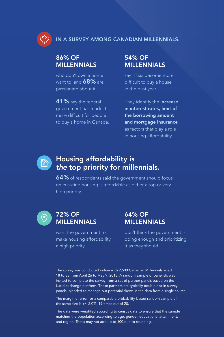

### 86% OF MILLENNIALS

who don't own a home want to, and  $68\%$  are passionate about it.

41% say the federal government has made it more difficult for people to buy a home in Canada.

### 54% OF MILLENNIALS

say it has become more difficult to buy a house in the past year.

They identify the **increase** in interest rates, limit of the borrowing amount and mortgage insurance as factors that play a role in housing affordability.



# Housing affordability is the top priority for millennials.

64% of respondents said the government should focus on ensuring housing is affordable as either a top or very high priority.



#### 72% OF MILLENNIALS

64% OF MILLENNIALS

want the government to make housing affordability a high priority.

don't think the government is doing enough and prioritizing it as they should.

The survey was conducted online with 2,500 Canadian Millennials aged 18 to 38 from April 26 to May 9, 2018. A random sample of panelists was invited to complete the survey from a set of partner panels based on the Lucid exchange platform. These partners are typically double opt-in survey panels, blended to manage out potential skews in the data from a single source.

The margin of error for a comparable probability-based random sample of the same size is +/- 2.0%, 19 times out of 20.

The data were weighted according to census data to ensure that the sample matched the population according to age, gender, educational attainment, and region. Totals may not add up to 100 due to rounding.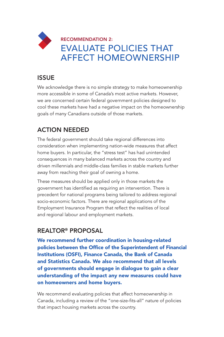# RECOMMENDATION 2: EVALUATE POLICIES THAT AFFECT HOMEOWNERSHIP

### ISSUE

We acknowledge there is no simple strategy to make homeownership more accessible in some of Canada's most active markets. However, we are concerned certain federal government policies designed to cool these markets have had a negative impact on the homeownership goals of many Canadians outside of those markets.

# ACTION NEEDED

The federal government should take regional differences into consideration when implementing nation-wide measures that affect home buyers. In particular, the "stress test" has had unintended consequences in many balanced markets across the country and driven millennials and middle-class families in stable markets further away from reaching their goal of owning a home.

These measures should be applied only in those markets the government has identified as requiring an intervention. There is precedent for national programs being tailored to address regional socio-economic factors. There are regional applications of the Employment Insurance Program that reflect the realities of local and regional labour and employment markets.

## REALTOR® PROPOSAL

We recommend further coordination in housing-related policies between the Office of the Superintendent of Financial Institutions (OSFI), Finance Canada, the Bank of Canada and Statistics Canada. We also recommend that all levels of governments should engage in dialogue to gain a clear understanding of the impact any new measures could have on homeowners and home buyers.

We recommend evaluating policies that affect homeownership in Canada, including a review of the "one-size-fits-all" nature of policies that impact housing markets across the country.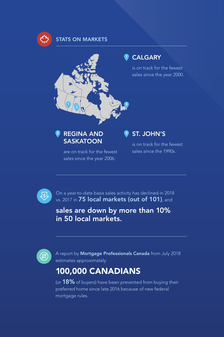

#### STATS ON MARKETS



### $\frac{2}{3}$  REGINA AND  $\frac{3}{3}$ **SASKATOON**

are on track for the fewest sales since the year 2006.

### ST. JOHN'S

is on track for the fewest sales since the 1990s.



On a year-to-date basis sales activity has declined in 2018 vs. 2017 in 75 local markets (out of 101), and

sales are down by more than 10% in 50 local markets.



A report by Mortgage Professionals Canada from July 2018 estimates approximately

# 100,000 CANADIANS

(or 18% of buyers) have been prevented from buying their preferred home since late 2016 because of new federal mortgage rules.